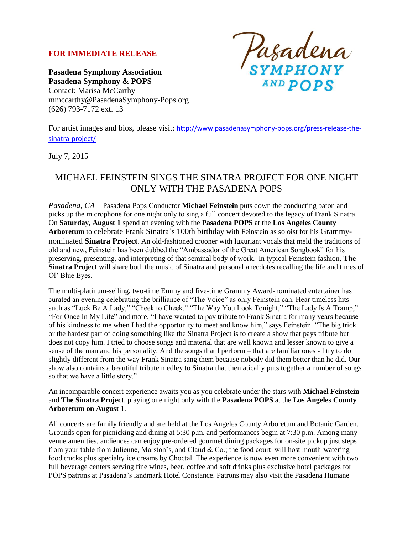### **FOR IMMEDIATE RELEASE**

**Pasadena Symphony Association Pasadena Symphony & POPS** Contact: Marisa McCarthy mmccarthy@PasadenaSymphony-Pops.org (626) 793-7172 ext. 13

Pasadena<br>symphony AND POPS

For artist images and bios, please visit: [http://www.pasadenasymphony-pops.org/press-release-the](http://www.pasadenasymphony-pops.org/press-release-the-sinatra-project/)[sinatra-project/](http://www.pasadenasymphony-pops.org/press-release-the-sinatra-project/)

July 7, 2015

# MICHAEL FEINSTEIN SINGS THE SINATRA PROJECT FOR ONE NIGHT ONLY WITH THE PASADENA POPS

*Pasadena, CA –* Pasadena Pops Conductor **Michael Feinstein** puts down the conducting baton and picks up the microphone for one night only to sing a full concert devoted to the legacy of Frank Sinatra. On **Saturday, August 1** spend an evening with the **Pasadena POPS** at the **Los Angeles County Arboretum** to celebrate Frank Sinatra's 100th birthday with Feinstein as soloist for his Grammynominated **Sinatra Project**. An old-fashioned crooner with luxuriant vocals that meld the traditions of old and new, Feinstein has been dubbed the "Ambassador of the Great American Songbook" for his preserving, presenting, and interpreting of that seminal body of work. In typical Feinstein fashion, **The Sinatra Project** will share both the music of Sinatra and personal anecdotes recalling the life and times of Ol' Blue Eyes.

The multi-platinum-selling, two-time Emmy and five-time Grammy Award-nominated entertainer has curated an evening celebrating the brilliance of "The Voice" as only Feinstein can. Hear timeless hits such as "Luck Be A Lady," "Cheek to Cheek," "The Way You Look Tonight," "The Lady Is A Tramp," "For Once In My Life" and more. "I have wanted to pay tribute to Frank Sinatra for many years because of his kindness to me when I had the opportunity to meet and know him," says Feinstein. "The big trick or the hardest part of doing something like the Sinatra Project is to create a show that pays tribute but does not copy him. I tried to choose songs and material that are well known and lesser known to give a sense of the man and his personality. And the songs that I perform – that are familiar ones - I try to do slightly different from the way Frank Sinatra sang them because nobody did them better than he did. Our show also contains a beautiful tribute medley to Sinatra that thematically puts together a number of songs so that we have a little story."

An incomparable concert experience awaits you as you celebrate under the stars with **Michael Feinstein** and **The Sinatra Project**, playing one night only with the **Pasadena POPS** at the **Los Angeles County Arboretum on August 1**.

All concerts are family friendly and are held at the Los Angeles County Arboretum and Botanic Garden. Grounds open for picnicking and dining at 5:30 p.m. and performances begin at 7:30 p.m. Among many venue amenities, audiences can enjoy pre-ordered gourmet dining packages for on-site pickup just steps from your table from Julienne, Marston's, and Claud & Co.; the food court will host mouth-watering food trucks plus specialty ice creams by Choctal. The experience is now even more convenient with two full beverage centers serving fine wines, beer, coffee and soft drinks plus exclusive hotel packages for POPS patrons at Pasadena's landmark Hotel Constance. Patrons may also visit the Pasadena Humane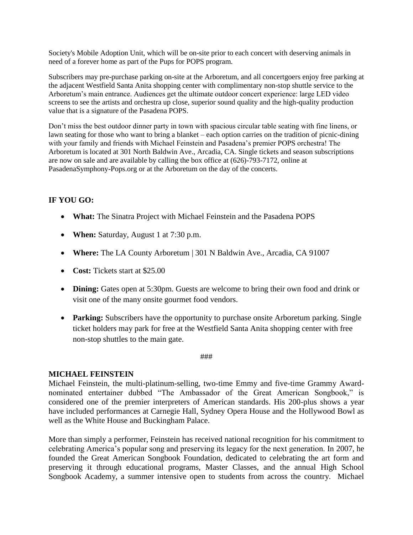Society's Mobile Adoption Unit, which will be on-site prior to each concert with deserving animals in need of a forever home as part of the Pups for POPS program.

Subscribers may pre-purchase parking on-site at the Arboretum, and all concertgoers enjoy free parking at the adjacent Westfield Santa Anita shopping center with complimentary non-stop shuttle service to the Arboretum's main entrance. Audiences get the ultimate outdoor concert experience: large LED video screens to see the artists and orchestra up close, superior sound quality and the high-quality production value that is a signature of the Pasadena POPS.

Don't miss the best outdoor dinner party in town with spacious circular table seating with fine linens, or lawn seating for those who want to bring a blanket – each option carries on the tradition of picnic-dining with your family and friends with Michael Feinstein and Pasadena's premier POPS orchestra! The Arboretum is located at 301 North Baldwin Ave., Arcadia, CA. Single tickets and season subscriptions are now on sale and are available by calling the box office at (626)-793-7172, online at PasadenaSymphony-Pops.org or at the Arboretum on the day of the concerts.

## **IF YOU GO:**

- **What:** The Sinatra Project with Michael Feinstein and the Pasadena POPS
- **When:** Saturday, August 1 at 7:30 p.m.
- **Where:** The LA County Arboretum | 301 N Baldwin Ave., Arcadia, CA 91007
- **Cost:** Tickets start at \$25.00
- **Dining:** Gates open at 5:30pm. Guests are welcome to bring their own food and drink or visit one of the many onsite gourmet food vendors.
- Parking: Subscribers have the opportunity to purchase onsite Arboretum parking. Single ticket holders may park for free at the Westfield Santa Anita shopping center with free non-stop shuttles to the main gate.

###

### **MICHAEL FEINSTEIN**

Michael Feinstein, the multi-platinum-selling, two-time Emmy and five-time Grammy Awardnominated entertainer dubbed "The Ambassador of the Great American Songbook," is considered one of the premier interpreters of American standards. His 200-plus shows a year have included performances at Carnegie Hall, Sydney Opera House and the Hollywood Bowl as well as the White House and Buckingham Palace.

More than simply a performer, Feinstein has received national recognition for his commitment to celebrating America's popular song and preserving its legacy for the next generation. In 2007, he founded the Great American Songbook Foundation, dedicated to celebrating the art form and preserving it through educational programs, Master Classes, and the annual High School Songbook Academy, a summer intensive open to students from across the country. Michael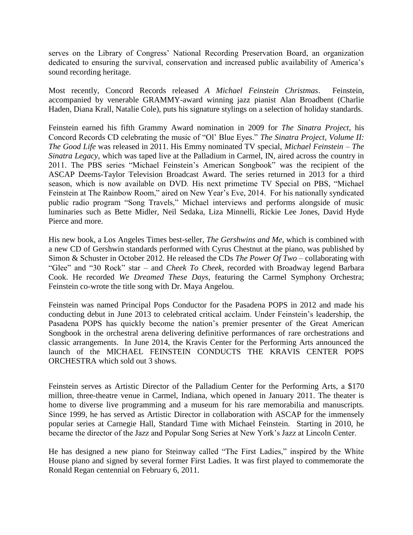serves on the Library of Congress' National Recording Preservation Board, an organization dedicated to ensuring the survival, conservation and increased public availability of America's sound recording heritage.

Most recently, Concord Records released *A Michael Feinstein Christmas*. Feinstein, accompanied by venerable GRAMMY-award winning jazz pianist Alan Broadbent (Charlie Haden, Diana Krall, Natalie Cole), puts his signature stylings on a selection of holiday standards.

Feinstein earned his fifth Grammy Award nomination in 2009 for *The Sinatra Project*, his Concord Records CD celebrating the music of "Ol' Blue Eyes." *The Sinatra Project, Volume II: The Good Life* was released in 2011. His Emmy nominated TV special, *Michael Feinstein – The Sinatra Legacy*, which was taped live at the Palladium in Carmel, IN, aired across the country in 2011. The PBS series "Michael Feinstein's American Songbook" was the recipient of the ASCAP Deems-Taylor Television Broadcast Award. The series returned in 2013 for a third season, which is now available on DVD. His next primetime TV Special on PBS, "Michael Feinstein at The Rainbow Room," aired on New Year's Eve, 2014. For his nationally syndicated public radio program "Song Travels," Michael interviews and performs alongside of music luminaries such as Bette Midler, Neil Sedaka, Liza Minnelli, Rickie Lee Jones, David Hyde Pierce and more.

His new book, a Los Angeles Times best-seller, *The Gershwins and Me*, which is combined with a new CD of Gershwin standards performed with Cyrus Chestnut at the piano, was published by Simon & Schuster in October 2012. He released the CDs *The Power Of Two* – collaborating with "Glee" and "30 Rock" star – and *Cheek To Cheek*, recorded with Broadway legend Barbara Cook. He recorded *We Dreamed These Days*, featuring the Carmel Symphony Orchestra; Feinstein co-wrote the title song with Dr. Maya Angelou.

Feinstein was named Principal Pops Conductor for the Pasadena POPS in 2012 and made his conducting debut in June 2013 to celebrated critical acclaim. Under Feinstein's leadership, the Pasadena POPS has quickly become the nation's premier presenter of the Great American Songbook in the orchestral arena delivering definitive performances of rare orchestrations and classic arrangements. In June 2014, the Kravis Center for the Performing Arts announced the launch of the MICHAEL FEINSTEIN CONDUCTS THE KRAVIS CENTER POPS ORCHESTRA which sold out 3 shows.

Feinstein serves as Artistic Director of the Palladium Center for the Performing Arts, a \$170 million, three-theatre venue in Carmel, Indiana, which opened in January 2011. The theater is home to diverse live programming and a museum for his rare memorabilia and manuscripts. Since 1999, he has served as Artistic Director in collaboration with ASCAP for the immensely popular series at Carnegie Hall, Standard Time with Michael Feinstein. Starting in 2010, he became the director of the Jazz and Popular Song Series at New York's Jazz at Lincoln Center.

He has designed a new piano for Steinway called "The First Ladies," inspired by the White House piano and signed by several former First Ladies. It was first played to commemorate the Ronald Regan centennial on February 6, 2011.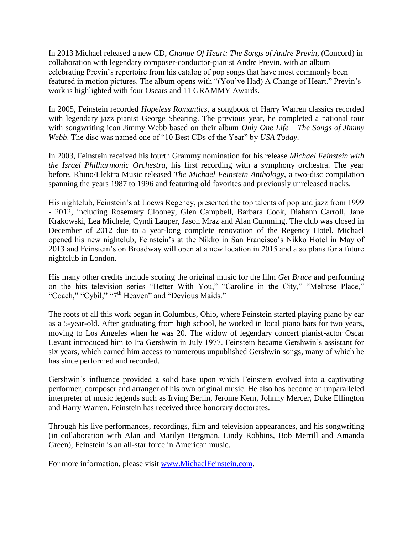In 2013 Michael released a new CD, *Change Of Heart: The Songs of Andre Previn*, (Concord) in collaboration with legendary composer-conductor-pianist Andre Previn, with an album celebrating Previn's repertoire from his catalog of pop songs that have most commonly been featured in motion pictures. The album opens with "(You've Had) A Change of Heart." Previn's work is highlighted with four Oscars and 11 GRAMMY Awards.

In 2005, Feinstein recorded *Hopeless Romantics*, a songbook of Harry Warren classics recorded with legendary jazz pianist George Shearing. The previous year, he completed a national tour with songwriting icon Jimmy Webb based on their album *Only One Life – The Songs of Jimmy Webb*. The disc was named one of "10 Best CDs of the Year" by *USA Today*.

In 2003, Feinstein received his fourth Grammy nomination for his release *Michael Feinstein with the Israel Philharmonic Orchestra*, his first recording with a symphony orchestra. The year before, Rhino/Elektra Music released *The Michael Feinstein Anthology*, a two-disc compilation spanning the years 1987 to 1996 and featuring old favorites and previously unreleased tracks.

His nightclub, Feinstein's at Loews Regency, presented the top talents of pop and jazz from 1999 - 2012, including Rosemary Clooney, Glen Campbell, Barbara Cook, Diahann Carroll, Jane Krakowski, Lea Michele, Cyndi Lauper, Jason Mraz and Alan Cumming. The club was closed in December of 2012 due to a year-long complete renovation of the Regency Hotel. Michael opened his new nightclub, Feinstein's at the Nikko in San Francisco's Nikko Hotel in May of 2013 and Feinstein's on Broadway will open at a new location in 2015 and also plans for a future nightclub in London.

His many other credits include scoring the original music for the film *Get Bruce* and performing on the hits television series "Better With You," "Caroline in the City," "Melrose Place," "Coach," "Cybil," "7<sup>th</sup> Heaven" and "Devious Maids."

The roots of all this work began in Columbus, Ohio, where Feinstein started playing piano by ear as a 5-year-old. After graduating from high school, he worked in local piano bars for two years, moving to Los Angeles when he was 20. The widow of legendary concert pianist-actor Oscar Levant introduced him to Ira Gershwin in July 1977. Feinstein became Gershwin's assistant for six years, which earned him access to numerous unpublished Gershwin songs, many of which he has since performed and recorded.

Gershwin's influence provided a solid base upon which Feinstein evolved into a captivating performer, composer and arranger of his own original music. He also has become an unparalleled interpreter of music legends such as Irving Berlin, Jerome Kern, Johnny Mercer, Duke Ellington and Harry Warren. Feinstein has received three honorary doctorates.

Through his live performances, recordings, film and television appearances, and his songwriting (in collaboration with Alan and Marilyn Bergman, Lindy Robbins, Bob Merrill and Amanda Green), Feinstein is an all-star force in American music.

For more information, please visit [www.MichaelFeinstein.com.](http://www.michaelfeinstein.com/)